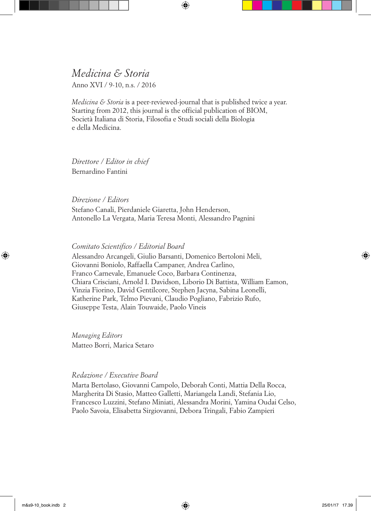*Medicina & Storia* Anno XVI / 9-10, n.s. / 2016

*Medicina & Storia* is a peer-reviewed-journal that is published twice a year. Starting from 2012, this journal is the official publication of BIOM, Società Italiana di Storia, Filosofia e Studi sociali della Biologia e della Medicina.

*Direttore / Editor in chief* Bernardino Fantini

*Direzione / Editors*

Stefano Canali, Pierdaniele Giaretta, John Henderson, Antonello La Vergata, Maria Teresa Monti, Alessandro Pagnini

*Comitato Scientifico / Editorial Board*

Alessandro Arcangeli, Giulio Barsanti, Domenico Bertoloni Meli, Giovanni Boniolo, Raffaella Campaner, Andrea Carlino, Franco Carnevale, Emanuele Coco, Barbara Continenza, Chiara Crisciani, Arnold I. Davidson, Liborio Di Battista, William Eamon, Vinzia Fiorino, David Gentilcore, Stephen Jacyna, Sabina Leonelli, Katherine Park, Telmo Pievani, Claudio Pogliano, Fabrizio Rufo, Giuseppe Testa, Alain Touwaide, Paolo Vineis

*Managing Editors* Matteo Borri, Marica Setaro

#### *Redazione / Executive Board*

Marta Bertolaso, Giovanni Campolo, Deborah Conti, Mattia Della Rocca, Margherita Di Stasio, Matteo Galletti, Mariangela Landi, Stefania Lio, Francesco Luzzini, Stefano Miniati, Alessandra Morini, Yamina Oudai Celso, Paolo Savoia, Elisabetta Sirgiovanni, Debora Tringali, Fabio Zampieri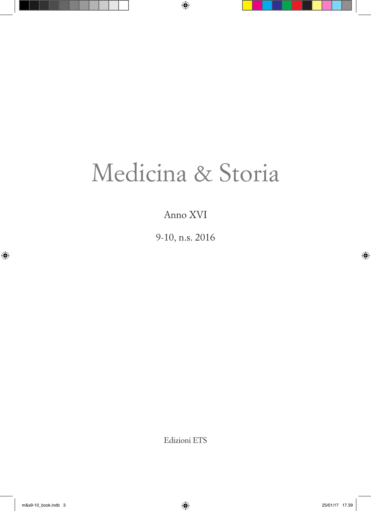# Medicina & Storia

Anno XVI

9-10, n.s. 2016

Edizioni ETS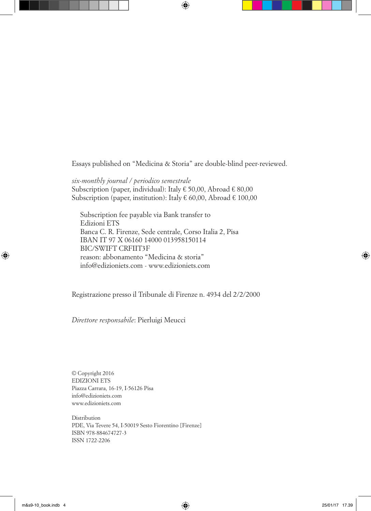Essays published on "Medicina & Storia" are double-blind peer-reviewed.

*six-monthly journal / periodico semestrale* Subscription (paper, individual): Italy  $\epsilon$  50,00, Abroad  $\epsilon$  80,00 Subscription (paper, institution): Italy  $\epsilon$  60,00, Abroad  $\epsilon$  100,00

Subscription fee payable via Bank transfer to Edizioni ETS Banca C. R. Firenze, Sede centrale, Corso Italia 2, Pisa IBAN IT 97 X 06160 14000 013958150114 BIC/SWIFT CRFIIT3F reason: abbonamento "Medicina & storia" info@edizioniets.com - www.edizioniets.com

Registrazione presso il Tribunale di Firenze n. 4934 del 2/2/2000

*Direttore responsabile*: Pierluigi Meucci

© Copyright 2016 EDIZIONI ETS Piazza Carrara, 16-19, I-56126 Pisa info@edizioniets.com www.edizioniets.com

Distribution PDE, Via Tevere 54, I-50019 Sesto Fiorentino [Firenze] ISBN 978-884674727-3 ISSN 1722-2206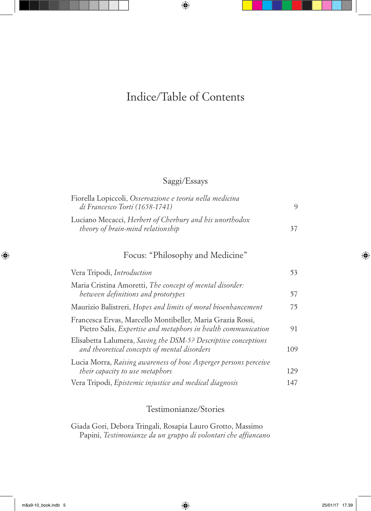# Indice/Table of Contents

## Saggi/Essays

| Fiorella Lopiccoli, Osservazione e teoria nella medicina |    |
|----------------------------------------------------------|----|
| di Francesco Torti (1658-1741)                           |    |
| Luciano Mecacci, Herbert of Cherbury and his unorthodox  |    |
| theory of brain-mind relationship                        | 37 |

## Focus: "Philosophy and Medicine"

| Vera Tripodi, Introduction                                                                                                  | 53  |
|-----------------------------------------------------------------------------------------------------------------------------|-----|
| Maria Cristina Amoretti, The concept of mental disorder:<br>between definitions and prototypes                              | 57  |
| Maurizio Balistreri, Hopes and limits of moral bioenhancement                                                               | 75  |
| Francesca Ervas, Marcello Montibeller, Maria Grazia Rossi,<br>Pietro Salis, Expertise and metaphors in health communication | 91  |
| Elisabetta Lalumera, Saving the DSM-5? Descriptive conceptions<br>and theoretical concepts of mental disorders              | 109 |
| Lucia Morra, Raising awareness of how Asperger persons perceive<br>their capacity to use metaphors                          | 129 |
| Vera Tripodi, Epistemic injustice and medical diagnosis                                                                     | 147 |

## Testimonianze/Stories

Giada Gori, Debora Tringali, Rosapia Lauro Grotto, Massimo Papini, *Testimonianze da un gruppo di volontari che affiancano*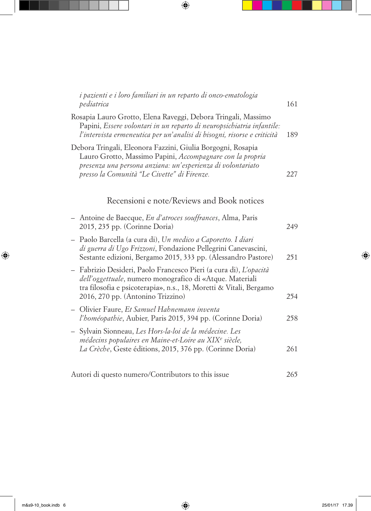| i pazienti e i loro familiari in un reparto di onco-ematologia<br>pediatrica                                                                                                                                                                     | 161 |
|--------------------------------------------------------------------------------------------------------------------------------------------------------------------------------------------------------------------------------------------------|-----|
| Rosapia Lauro Grotto, Elena Raveggi, Debora Tringali, Massimo<br>Papini, Essere volontari in un reparto di neuropsichiatria infantile:<br>l'intervista ermeneutica per un'analisi di bisogni, risorse e criticità                                | 189 |
| Debora Tringali, Eleonora Fazzini, Giulia Borgogni, Rosapia<br>Lauro Grotto, Massimo Papini, Accompagnare con la propria<br>presenza una persona anziana: un'esperienza di volontariato<br>presso la Comunità "Le Civette" di Firenze.           | 227 |
| Recensioni e note/Reviews and Book notices                                                                                                                                                                                                       |     |
| - Antoine de Baecque, En d'atroces souffrances, Alma, Paris<br>2015, 235 pp. (Corinne Doria)                                                                                                                                                     | 249 |
| - Paolo Barcella (a cura di), Un medico a Caporetto. I diari<br>di guerra di Ugo Frizzoni, Fondazione Pellegrini Canevascini,<br>Sestante edizioni, Bergamo 2015, 333 pp. (Alessandro Pastore)                                                   | 251 |
| - Fabrizio Desideri, Paolo Francesco Pieri (a cura di), L'opacità<br><i>dell'oggettuale</i> , numero monografico di «Atque. Materiali<br>tra filosofia e psicoterapia», n.s., 18, Moretti & Vitali, Bergamo<br>2016, 270 pp. (Antonino Trizzino) | 254 |
| - Olivier Faure, Et Samuel Hahnemann inventa<br>l'homéopathie, Aubier, Paris 2015, 394 pp. (Corinne Doria)                                                                                                                                       | 258 |
| - Sylvain Sionneau, Les Hors-la-loi de la médecine. Les<br>médecins populaires en Maine-et-Loire au XIX <sup>e</sup> siècle,<br>La Crèche, Geste éditions, 2015, 376 pp. (Corinne Doria)                                                         | 261 |
| Autori di questo numero/Contributors to this issue                                                                                                                                                                                               | 265 |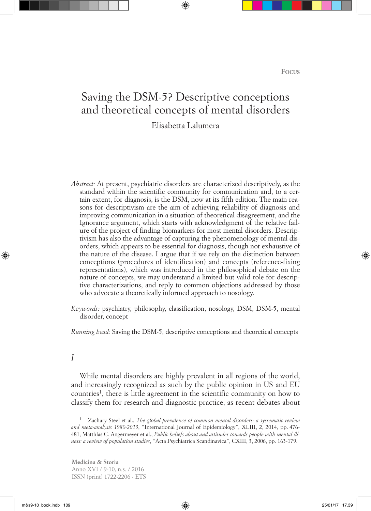## Saving the DSM-5? Descriptive conceptions and theoretical concepts of mental disorders

## Elisabetta Lalumera

- *Abstract:* At present, psychiatric disorders are characterized descriptively, as the standard within the scientific community for communication and, to a certain extent, for diagnosis, is the DSM, now at its fifth edition. The main reasons for descriptivism are the aim of achieving reliability of diagnosis and improving communication in a situation of theoretical disagreement, and the Ignorance argument, which starts with acknowledgment of the relative failure of the project of finding biomarkers for most mental disorders. Descriptivism has also the advantage of capturing the phenomenology of mental disorders, which appears to be essential for diagnosis, though not exhaustive of the nature of the disease. I argue that if we rely on the distinction between conceptions (procedures of identification) and concepts (reference-fixing representations), which was introduced in the philosophical debate on the nature of concepts, we may understand a limited but valid role for descriptive characterizations, and reply to common objections addressed by those who advocate a theoretically informed approach to nosology.
- *Keywords:* psychiatry, philosophy, classification, nosology, DSM, DSM-5, mental disorder, concept

*Running head:* Saving the DSM-5, descriptive conceptions and theoretical concepts

### *I*

While mental disorders are highly prevalent in all regions of the world, and increasingly recognized as such by the public opinion in US and EU countries1, there is little agreement in the scientific community on how to classify them for research and diagnostic practice, as recent debates about

<sup>1</sup> Zachary Steel et al., *The global prevalence of common mental disorders: a systematic review and meta-analysis 1980-2013*, "International Journal of Epidemiology", XLIII, 2, 2014, pp. 476- 481; Matthias C. Angermeyer et al., *Public beliefs about and attitudes towards people with mental illness: a review of population studies*, "Acta Psychiatrica Scandinavica", CXIII, 3, 2006, pp. 163-179.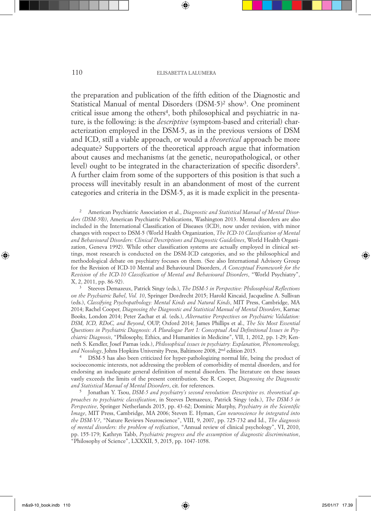the preparation and publication of the fifth edition of the Diagnostic and Statistical Manual of mental Disorders (DSM-5)<sup>2</sup> show<sup>3</sup>. One prominent critical issue among the others<sup>4</sup>, both philosophical and psychiatric in nature, is the following: is the *descriptive* (symptom-based and criterial) characterization employed in the DSM-5, as in the previous versions of DSM and ICD, still a viable approach, or would a *theoretical* approach be more adequate? Supporters of the theoretical approach argue that information about causes and mechanisms (at the genetic, neuropathological, or other level) ought to be integrated in the characterization of specific disorders<sup>5</sup>. A further claim from some of the supporters of this position is that such a process will inevitably result in an abandonment of most of the current categories and criteria in the DSM-5, as it is made explicit in the presenta-

<sup>2</sup> American Psychiatric Association et al., *Diagnostic and Statistical Manual of Mental Disorders (DSM-5®)*, American Psychiatric Publications, Washington 2013. Mental disorders are also included in the International Classification of Diseases (ICD), now under revision, with minor changes with respect to DSM-5 (World Health Organization, *The ICD-10 Classification of Mental and Behavioural Disorders: Clinical Descriptions and Diagnostic Guidelines*, World Health Organization, Geneva 1992). While other classification systems are actually employed in clinical settings, most research is conducted on the DSM-ICD categories, and so the philosophical and methodological debate on psychiatry focuses on them. (See also International Advisory Group for the Revision of ICD-10 Mental and Behavioural Disorders, *A Conceptual Framework for the Revision of the ICD-10 Classification of Mental and Behavioural Disorders*, "World Psychiatry", X, 2, 2011, pp. 86-92).<br><sup>3</sup> Steeves Demazeux, Patrick Singy (eds.), *The DSM-5 in Perspective: Philosophical Reflections* 

*on the Psychiatric Babel*, *Vol. 10*, Springer Dordrecht 2015; Harold Kincaid, Jacqueline A. Sullivan (eds.), *Classifying Psychopathology: Mental Kinds and Natural Kinds*, MIT Press, Cambridge, MA 2014; Rachel Cooper, *Diagnosing the Diagnostic and Statistical Manual of Mental Disorders*, Karnac Books, London 2014; Peter Zachar et al. (eds.), *Alternative Perspectives on Psychiatric Validation: DSM, ICD, RDoC, and Beyond*, OUP, Oxford 2014; James Phillips et al., *The Six Most Essential Questions in Psychiatric Diagnosis: A Pluralogue Part 1: Conceptual And Definitional Issues in Psychiatric Diagnosis*, "Philosophy, Ethics, and Humanities in Medicine", VII, 1, 2012, pp. 1-29; Kenneth S. Kendler, Josef Parnas (eds.), *Philosophical issues in psychiatry: Explanation, Phenomenology, and Nosology*, Johns Hopkins University Press, Baltimore 2008, 2nd edition 2015.

<sup>4</sup> DSM-5 has also been criticized for hyper-pathologizing normal life, being the product of socioeconomic interests, not addressing the problem of comorbidity of mental disorders, and for endorsing an inadequate general definition of mental disorders. The literature on these issues vastly exceeds the limits of the present contribution. See R. Cooper, *Diagnosing the Diagnostic and Statistical Manual of Mental Disorders*, cit. for references.

<sup>5</sup> Jonathan Y. Tsou, *DSM-5 and psychiatry's second revolution: Descriptive vs. theoretical approaches to psychiatric classification*, in Steeves Demazeux, Patrick Singy (eds.), *The DSM-5 in Perspective*, Springer Netherlands 2015, pp. 43-62; Dominic Murphy, *Psychiatry in the Scientific Image*, MIT Press, Cambridge, MA 2006; Steven E. Hyman, *Can neuroscience be integrated into the DSM-V?*, "Nature Reviews Neuroscience", VIII, 9, 2007, pp. 725-732 and Id., *The diagnosis of mental disorders: the problem of reification*, "Annual review of clinical psychology", VI, 2010, pp. 155-179; Kathryn Tabb, *Psychiatric progress and the assumption of diagnostic discrimination*, "Philosophy of Science", LXXXII, 5, 2015, pp. 1047-1058.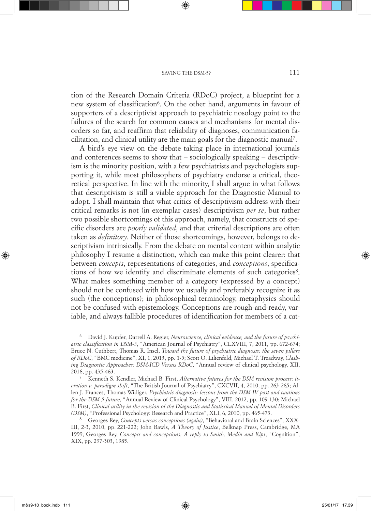tion of the Research Domain Criteria (RDoC) project, a blueprint for a new system of classification<sup>6</sup>. On the other hand, arguments in favour of supporters of a descriptivist approach to psychiatric nosology point to the failures of the search for common causes and mechanisms for mental disorders so far, and reaffirm that reliability of diagnoses, communication facilitation, and clinical utility are the main goals for the diagnostic manual7.

A bird's eye view on the debate taking place in international journals and conferences seems to show that – sociologically speaking – descriptivism is the minority position, with a few psychiatrists and psychologists supporting it, while most philosophers of psychiatry endorse a critical, theoretical perspective. In line with the minority, I shall argue in what follows that descriptivism is still a viable approach for the Diagnostic Manual to adopt. I shall maintain that what critics of descriptivism address with their critical remarks is not (in exemplar cases) descriptivism *per se*, but rather two possible shortcomings of this approach, namely, that constructs of specific disorders are *poorly validated*, and that criterial descriptions are often taken as *definitory*. Neither of those shortcomings, however, belongs to descriptivism intrinsically. From the debate on mental content within analytic philosophy I resume a distinction, which can make this point clearer: that between *concepts*, representations of categories, and *conceptions*, specifications of how we identify and discriminate elements of such categories<sup>8</sup>. What makes something member of a category (expressed by a concept) should not be confused with how we usually and preferably recognize it as such (the conceptions); in philosophical terminology, metaphysics should not be confused with epistemology. Conceptions are rough-and-ready, variable, and always fallible procedures of identification for members of a cat-

<sup>6</sup> David J. Kupfer, Darrell A. Regier, *Neuroscience, clinical evidence, and the future of psychiatric classification in DSM-5*, "American Journal of Psychiatry", CLXVIII, 7, 2011, pp. 672-674; Bruce N. Cuthbert, Thomas R. Insel, *Toward the future of psychiatric diagnosis: the seven pillars of RDoC*, "BMC medicine", XI, 1, 2013, pp. 1-5; Scott O. Lilienfeld, Michael T. Treadway, *Clashing Diagnostic Approaches: DSM-ICD Versus RDoC*, "Annual review of clinical psychology, XII, 2016, pp. 435-463.

<sup>7</sup> Kenneth S. Kendler, Michael B. First, *Alternative futures for the DSM revision process: iteration v. paradigm shift*, "The British Journal of Psychiatry", CXCVII, 4, 2010, pp. 263-265; Allen J. Frances, Thomas Widiger, *Psychiatric diagnosis: lessons from the DSM-IV past and cautions for the DSM-5 future*, "Annual Review of Clinical Psychology", VIII, 2012, pp. 109-130; Michael B. First, *Clinical utility in the revision of the Diagnostic and Statistical Manual of Mental Disorders (DSM)*, "Professional Psychology: Research and Practice", XLI, 6, 2010, pp. 465-473.

<sup>8</sup> Georges Rey, *Concepts versus conceptions (again)*, "Behavioral and Brain Sciences", XXX-III, 2-3, 2010, pp. 221-222; John Rawls, *A Theory of Justice*, Belknap Press, Cambridge, MA 1999; Georges Rey, *Concepts and conceptions: A reply to Smith, Medin and Rips*, "Cognition", XIX, pp. 297-303, 1985.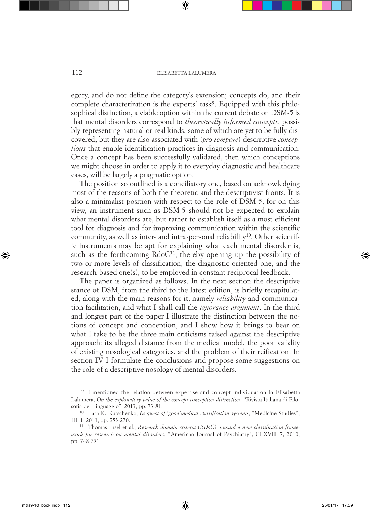egory, and do not define the category's extension; concepts do, and their complete characterization is the experts' task<sup>9</sup>. Equipped with this philosophical distinction, a viable option within the current debate on DSM-5 is that mental disorders correspond to *theoretically informed concepts*, possibly representing natural or real kinds, some of which are yet to be fully discovered, but they are also associated with (*pro tempore*) descriptive *conceptions* that enable identification practices in diagnosis and communication. Once a concept has been successfully validated, then which conceptions we might choose in order to apply it to everyday diagnostic and healthcare cases, will be largely a pragmatic option.

The position so outlined is a conciliatory one, based on acknowledging most of the reasons of both the theoretic and the descriptivist fronts. It is also a minimalist position with respect to the role of DSM-5, for on this view, an instrument such as DSM-5 should not be expected to explain what mental disorders are, but rather to establish itself as a most efficient tool for diagnosis and for improving communication within the scientific community, as well as inter- and intra-personal reliability<sup>10</sup>. Other scientific instruments may be apt for explaining what each mental disorder is, such as the forthcoming  $RdoC<sup>11</sup>$ , thereby opening up the possibility of two or more levels of classification, the diagnostic-oriented one, and the research-based one(s), to be employed in constant reciprocal feedback.

The paper is organized as follows. In the next section the descriptive stance of DSM, from the third to the latest edition, is briefly recapitulated, along with the main reasons for it, namely *reliability* and communication facilitation, and what I shall call the *ignorance argument*. In the third and longest part of the paper I illustrate the distinction between the notions of concept and conception, and I show how it brings to bear on what I take to be the three main criticisms raised against the descriptive approach: its alleged distance from the medical model, the poor validity of existing nosological categories, and the problem of their reification. In section IV I formulate the conclusions and propose some suggestions on the role of a descriptive nosology of mental disorders.

<sup>9</sup> I mentioned the relation between expertise and concept individuation in Elisabetta Lalumera, *On the explanatory value of the concept-conception distinction*, "Rivista Italiana di Filosofia del Linguaggio", 2013, pp. 73-81.

<sup>10</sup> Lara K. Kutschenko, *In quest of 'good'medical classification systems*, "Medicine Studies", III, 1, 2011, pp. 253-270.

<sup>11</sup> Thomas Insel et al., *Research domain criteria (RDoC): toward a new classification framework for research on mental disorders*, "American Journal of Psychiatry", CLXVII, 7, 2010, pp. 748-751.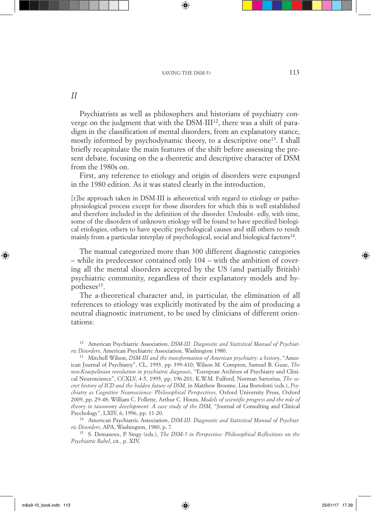*II*

Psychiatrists as well as philosophers and historians of psychiatry converge on the judgment that with the DSM-III12, there was a shift of paradigm in the classification of mental disorders, from an explanatory stance, mostly informed by psychodynamic theory, to a descriptive one<sup>13</sup>. I shall briefly recapitulate the main features of the shift before assessing the present debate, focusing on the a-theoretic and descriptive character of DSM from the 1980s on.

First, any reference to etiology and origin of disorders were expunged in the 1980 edition. As it was stated clearly in the introduction,

[t]he approach taken in DSM-III is atheoretical with regard to etiology or pathophysiological process except for those disorders for which this is well established and therefore included in the definition of the disorder. Undoubt- edly, with time, some of the disorders of unknown etiology will be found to have specified biological etiologies, others to have specific psychological causes and still others to result mainly from a particular interplay of psychological, social and biological factors<sup>14</sup>.

The manual categorized more than 300 different diagnostic categories – while its predecessor contained only 104 – with the ambition of covering all the mental disorders accepted by the US (and partially British) psychiatric community, regardless of their explanatory models and hypotheses<sup>15</sup>.

The a-theoretical character and, in particular, the elimination of all references to etiology was explicitly motivated by the aim of producing a neutral diagnostic instrument, to be used by clinicians of different orientations:

<sup>12</sup> American Psychiatric Association, *DSM-III: Diagnostic and Statistical Manual of Psychiatric Disorders*, American Psychiatric Association, Washington 1980.

<sup>13</sup> Mitchell Wilson, *DSM-III and the transformation of American psychiatry: a history*, "American Journal of Psychiatry", CL, 1993, pp. 399-410; Wilson M. Compton, Samuel B. Guze, *The neo-Kraepelinian revolution in psychiatric diagnosis*, "European Archives of Psychiatry and Clinical Neuroscience", CCXLV, 4-5, 1995, pp. 196-201; K.W.M. Fulford, Norman Sartorius, *The secret history of ICD and the hidden future of DSM*, in Matthew Broome, Lisa Bortolotti (eds.), *Psychiatry as Cognitive Neuroscience: Philosophical Perspectives,* Oxford University Press, Oxford 2009, pp. 29-48; William C. Follette, Arthur C. Houts, *Models of scientific progress and the role of theory in taxonomy development: A case study of the DSM*, "Journal of Consulting and Clinical Psychology", LXIV, 6, 1996, pp. 11-20.

<sup>14</sup> American Psychiatric Association, *DSM-III: Diagnostic and Statistical Manual of Psychiatric Disorders*, APA, Washington, 1980, p. 7.

<sup>15</sup> S. Demazeux, P. Singy (eds.), *The DSM-5 in Perspective: Philosophical Reflections on the Psychiatric Babel*, cit., p. XIV.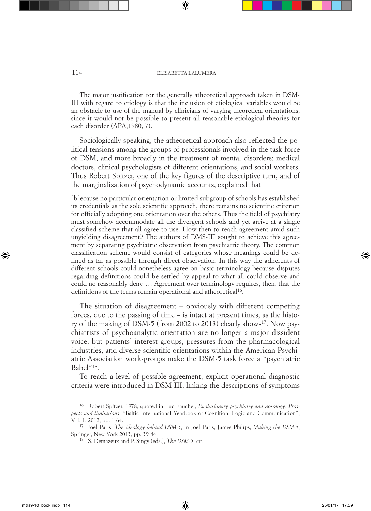The major justification for the generally atheoretical approach taken in DSM-III with regard to etiology is that the inclusion of etiological variables would be an obstacle to use of the manual by clinicians of varying theoretical orientations, since it would not be possible to present all reasonable etiological theories for each disorder (APA,1980, 7).

Sociologically speaking, the atheoretical approach also reflected the political tensions among the groups of professionals involved in the task-force of DSM, and more broadly in the treatment of mental disorders: medical doctors, clinical psychologists of different orientations, and social workers. Thus Robert Spitzer, one of the key figures of the descriptive turn, and of the marginalization of psychodynamic accounts, explained that

[b]ecause no particular orientation or limited subgroup of schools has established its credentials as the sole scientific approach, there remains no scientific criterion for officially adopting one orientation over the others. Thus the field of psychiatry must somehow accommodate all the divergent schools and yet arrive at a single classified scheme that all agree to use. How then to reach agreement amid such unyielding disagreement? The authors of DMS-III sought to achieve this agreement by separating psychiatric observation from psychiatric theory. The common classification scheme would consist of categories whose meanings could be defined as far as possible through direct observation. In this way the adherents of different schools could nonetheless agree on basic terminology because disputes regarding definitions could be settled by appeal to what all could observe and could no reasonably deny. … Agreement over terminology requires, then, that the definitions of the terms remain operational and atheoretical<sup>16</sup>.

The situation of disagreement – obviously with different competing forces, due to the passing of time – is intact at present times, as the history of the making of DSM-5 (from 2002 to 2013) clearly shows<sup>17</sup>. Now psychiatrists of psychoanalytic orientation are no longer a major dissident voice, but patients' interest groups, pressures from the pharmacological industries, and diverse scientific orientations within the American Psychiatric Association work-groups make the DSM-5 task force a "psychiatric Babel"18.

To reach a level of possible agreement, explicit operational diagnostic criteria were introduced in DSM-III, linking the descriptions of symptoms

<sup>16</sup> Robert Spitzer, 1978, quoted in Luc Faucher, *Evolutionary psychiatry and nosology: Prospects and limitations*, "Baltic International Yearbook of Cognition, Logic and Communication", VII, 1, 2012, pp. 1-64.

<sup>17</sup> Joel Paris, *The ideology behind DSM-5*, in Joel Paris, James Philips, *Making the DSM-5*, Springer, New York 2013, pp. 39-44.

<sup>18</sup> S. Demazeux and P. Singy (eds.), *The DSM-5*, cit.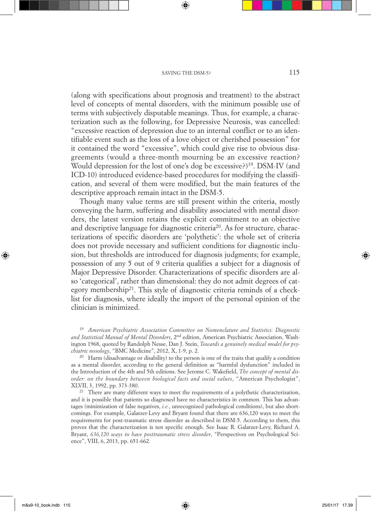(along with specifications about prognosis and treatment) to the abstract level of concepts of mental disorders, with the minimum possible use of terms with subjectively disputable meanings. Thus, for example, a characterization such as the following, for Depressive Neurosis, was cancelled: "excessive reaction of depression due to an internal conflict or to an identifiable event such as the loss of a love object or cherished possession" for it contained the word "excessive", which could give rise to obvious disagreements (would a three-month mourning be an excessive reaction? Would depression for the lost of one's dog be excessive?)<sup>19</sup>. DSM-IV (and ICD-10) introduced evidence-based procedures for modifying the classification, and several of them were modified, but the main features of the descriptive approach remain intact in the DSM-5.

Though many value terms are still present within the criteria, mostly conveying the harm, suffering and disability associated with mental disorders, the latest version retains the explicit commitment to an objective and descriptive language for diagnostic criteria<sup>20</sup>. As for structure, characterizations of specific disorders are 'polythetic': the whole set of criteria does not provide necessary and sufficient conditions for diagnostic inclusion, but thresholds are introduced for diagnosis judgments; for example, possession of any 5 out of 9 criteria qualifies a subject for a diagnosis of Major Depressive Disorder. Characterizations of specific disorders are also 'categorical', rather than dimensional: they do not admit degrees of category membership<sup>21</sup>. This style of diagnostic criteria reminds of a checklist for diagnosis, where ideally the import of the personal opinion of the clinician is minimized.

<sup>19</sup> *American Psychiatric Association Committee on Nomenclature and Statistics: Diagnostic and Statistical Manual of Mental Disorders*, 2nd edition, American Psychiatric Association, Washington 1968, quoted by Randolph Nesse, Dan J. Stein, *Towards a genuinely medical model for psychiatric nosology*, "BMC Medicine", 2012, X, 1-9, p. 2.

<sup>20</sup> Harm (disadvantage or disability) to the person is one of the traits that qualify a condition as a mental disorder, according to the general definition as "harmful dysfunction" included in the Introduction of the 4th and 5th editions. See Jerome C. Wakefield, *The concept of mental disorder: on the boundary between biological facts and social values*, "American Psychologist", XLVII, 3, 1992, pp. 373-380.

<sup>21</sup> There are many different ways to meet the requirements of a polythetic characterization, and it is possible that patients so diagnosed have no characteristics in common. This has advantages (minimization of false negatives, *i.e.*, unrecognized pathological conditions), but also shortcomings. For example, Galatzer-Levy and Bryant found that there are 636,120 ways to meet the requirements for post-traumatic stress disorder as described in DSM-5. According to them, this proves that the characterization is not specific enough. See Isaac R. Galatzer-Levy, Richard A. Bryant, *636,120 ways to have posttraumatic stress disorder*, "Perspectives on Psychological Science", VIII, 6, 2013, pp. 651-662.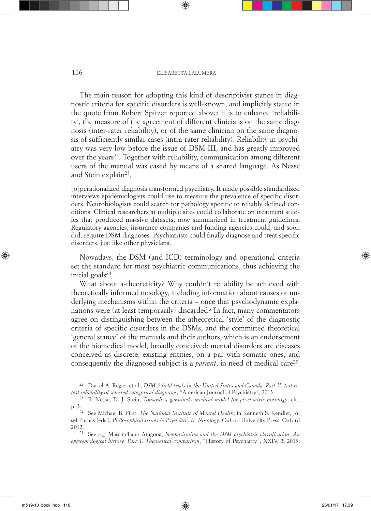#### 116 ELISABETTA LALUMERA

The main reason for adopting this kind of descriptivist stance in diagnostic criteria for specific disorders is well-known, and implicitly stated in the quote from Robert Spitzer reported above: it is to enhance 'reliability', the measure of the agreement of different clinicians on the same diagnosis (inter-rater reliability), or of the same clinician on the same diagnosis of sufficiently similar cases (intra-rater reliability). Reliability in psychiatry was very low before the issue of DSM-III, and has greatly improved over the years<sup>22</sup>. Together with reliability, communication among different users of the manual was eased by means of a shared language. As Nesse and Stein explain23,

[o]perationalized diagnosis transformed psychiatry. It made possible standardized interviews epidemiologists could use to measure the prevalence of specific disorders. Neurobiologists could search for pathology specific to reliably defined conditions. Clinical researchers at multiple sites could collaborate on treatment studies that produced massive datasets, now summarized in treatment guidelines. Regulatory agencies, insurance companies and funding agencies could, and soon did, require DSM diagnoses. Psychiatrists could finally diagnose and treat specific disorders, just like other physicians.

Nowadays, the DSM (and ICD) terminology and operational criteria set the standard for most psychiatric communications, thus achieving the initial goals $24$ .

What about a-theoreticity? Why couldn't reliability be achieved with theoretically informed nosology, including information about causes or underlying mechanisms within the criteria – once that psychodynamic explanations were (at least temporarily) discarded? In fact, many commentators agree on distinguishing between the atheoretical 'style' of the diagnostic criteria of specific disorders in the DSMs, and the committed theoretical 'general stance' of the manuals and their authors, which is an endorsement of the biomedical model, broadly conceived: mental disorders are diseases conceived as discrete, existing entities, on a par with somatic ones, and consequently the diagnosed subject is a *patient*, in need of medical care<sup>25</sup>.

<sup>22</sup> Darrel A. Regier et al., *DSM-5 field trials in the United States and Canada, Part II: test-retest reliability of selected categorical diagnoses*, "American Journal of Psychiatry", 2013.

<sup>23</sup> R. Nesse, D. J. Stein, *Towards a genuinely medical model for psychiatric nosology*, cit., p. 3.

<sup>24</sup> See Michael B. First, *The National Institute of Mental Health*, in Kenneth S. Kendler, Josef Parnas (eds.), *Philosophical Issues in Psychiatry II: Nosology*, Oxford University Press, Oxford 2012.

<sup>25</sup> See *e.g.* Massimiliano Aragona, *Neopositivism and the DSM psychiatric classification. An epistemological history. Part 1: Theoretical comparison*, "History of Psychiatry", XXIV, 2, 2013,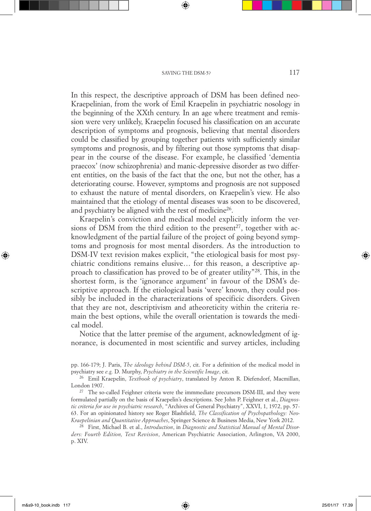In this respect, the descriptive approach of DSM has been defined neo-Kraepelinian, from the work of Emil Kraepelin in psychiatric nosology in the beginning of the XXth century. In an age where treatment and remission were very unlikely, Kraepelin focused his classification on an accurate description of symptoms and prognosis, believing that mental disorders could be classified by grouping together patients with sufficiently similar symptoms and prognosis, and by filtering out those symptoms that disappear in the course of the disease. For example, he classified 'dementia praecox' (now schizophrenia) and manic-depressive disorder as two different entities, on the basis of the fact that the one, but not the other, has a deteriorating course. However, symptoms and prognosis are not supposed to exhaust the nature of mental disorders, on Kraepelin's view. He also maintained that the etiology of mental diseases was soon to be discovered, and psychiatry be aligned with the rest of medicine<sup>26</sup>.

Kraepelin's conviction and medical model explicitly inform the versions of DSM from the third edition to the present<sup>27</sup>, together with acknowledgment of the partial failure of the project of going beyond symptoms and prognosis for most mental disorders. As the introduction to DSM-IV text revision makes explicit, "the etiological basis for most psychiatric conditions remains elusive… for this reason, a descriptive approach to classification has proved to be of greater utility"28. This, in the shortest form, is the 'ignorance argument' in favour of the DSM's descriptive approach. If the etiological basis 'were' known, they could possibly be included in the characterizations of specificic disorders. Given that they are not, descriptivism and atheoreticity within the criteria remain the best options, while the overall orientation is towards the medical model.

Notice that the latter premise of the argument, acknowledgment of ignorance, is documented in most scientific and survey articles, including

<sup>28</sup> First, Michael B. et al., *Introduction*, in *Diagnostic and Statistical Manual of Mental Disorders: Fourth Edition, Text Revision*, American Psychiatric Association, Arlington, VA 2000, p. XIV.

pp. 166-179; J. Paris, *The ideology behind DSM-5*, cit. For a definition of the medical model in psychiatry see *e.g.* D. Murphy, *Psychiatry in the Scientific Image*, cit.

<sup>26</sup> Emil Kraepelin, *Textbook of psychiatry*, translated by Anton R. Diefendorf, Macmillan, London 1907.

<sup>&</sup>lt;sup>27</sup> The so-called Feighner criteria were the immmediate precursors DSM-III, and they were formulated partially on the basis of Kraepelin's descriptions. See John P. Feighner et al., *Diagnostic criteria for use in psychiatric research*, "Archives of General Psychiatry", XXVI, 1, 1972, pp. 57- 63. For an opinionated history see Roger Blashfield, *The Classification of Psychopathology: Neo-Kraepelinian and Quantitative Approaches*, Springer Science & Business Media, New York 2012.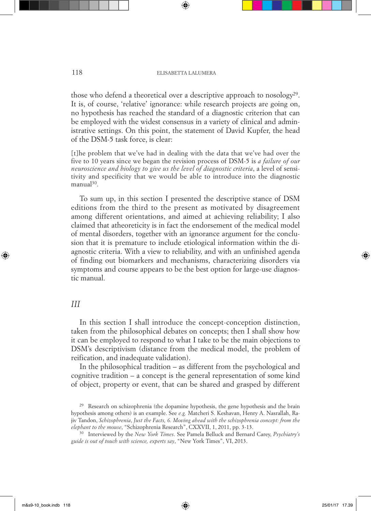those who defend a theoretical over a descriptive approach to nosology<sup>29</sup>. It is, of course, 'relative' ignorance: while research projects are going on, no hypothesis has reached the standard of a diagnostic criterion that can be employed with the widest consensus in a variety of clinical and administrative settings. On this point, the statement of David Kupfer, the head of the DSM-5 task force, is clear:

[t]he problem that we've had in dealing with the data that we've had over the five to 10 years since we began the revision process of DSM-5 is *a failure of our neuroscience and biology to give us the level of diagnostic criteria*, a level of sensitivity and specificity that we would be able to introduce into the diagnostic manual<sup>30</sup>.

To sum up, in this section I presented the descriptive stance of DSM editions from the third to the present as motivated by disagreement among different orientations, and aimed at achieving reliability; I also claimed that atheoreticity is in fact the endorsement of the medical model of mental disorders, together with an ignorance argument for the conclusion that it is premature to include etiological information within the diagnostic criteria. With a view to reliability, and with an unfinished agenda of finding out biomarkers and mechanisms, characterizing disorders via symptoms and course appears to be the best option for large-use diagnostic manual.

#### *III*

In this section I shall introduce the concept-conception distinction, taken from the philosophical debates on concepts; then I shall show how it can be employed to respond to what I take to be the main objections to DSM's descriptivism (distance from the medical model, the problem of reification, and inadequate validation).

In the philosophical tradition – as different from the psychological and cognitive tradition – a concept is the general representation of some kind of object, property or event, that can be shared and grasped by different

<sup>29</sup> Research on schizophrenia (the dopamine hypothesis, the gene hypothesis and the brain hypothesis among others) is an example. See *e.g.* Matcheri S. Keshavan, Henry A. Nasrallah, Rajiv Tandon, *Schizophrenia*, *Just the Facts, 6. Moving ahead with the schizophrenia concept: from the* 

<sup>&</sup>lt;sup>30</sup> Interviewed by the *New York Times*. See Pamela Belluck and Bernard Carey, *Psychiatry's guide is out of touch with science, experts say*, "New York Times", VI, 2013.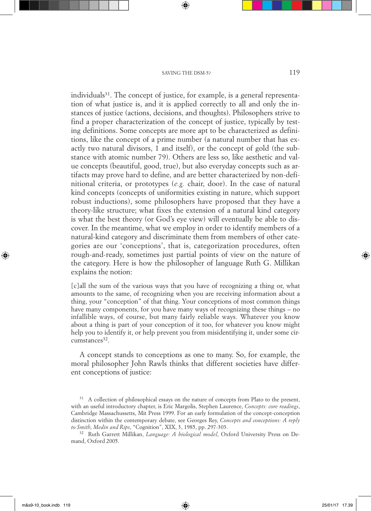individuals $31$ . The concept of justice, for example, is a general representation of what justice is, and it is applied correctly to all and only the instances of justice (actions, decisions, and thoughts). Philosophers strive to find a proper characterization of the concept of justice, typically by testing definitions. Some concepts are more apt to be characterized as definitions, like the concept of a prime number (a natural number that has exactly two natural divisors, 1 and itself), or the concept of gold (the substance with atomic number 79). Others are less so, like aesthetic and value concepts (beautiful, good, true), but also everyday concepts such as artifacts may prove hard to define, and are better characterized by non-definitional criteria, or prototypes (*e.g.* chair, door). In the case of natural kind concepts (concepts of uniformities existing in nature, which support robust inductions), some philosophers have proposed that they have a theory-like structure; what fixes the extension of a natural kind category is what the best theory (or God's eye view) will eventually be able to discover. In the meantime, what we employ in order to identify members of a natural-kind category and discriminate them from members of other categories are our 'conceptions', that is, categorization procedures, often rough-and-ready, sometimes just partial points of view on the nature of the category. Here is how the philosopher of language Ruth G. Millikan explains the notion:

[c]all the sum of the various ways that you have of recognizing a thing or, what amounts to the same, of recognizing when you are receiving information about a thing, your "conception" of that thing. Your conceptions of most common things have many components, for you have many ways of recognizing these things – no infallible ways, of course, but many fairly reliable ways. Whatever you know about a thing is part of your conception of it too, for whatever you know might help you to identify it, or help prevent you from misidentifying it, under some cir $cumstances<sup>32</sup>$ .

A concept stands to conceptions as one to many. So, for example, the moral philosopher John Rawls thinks that different societies have different conceptions of justice:

<sup>&</sup>lt;sup>31</sup> A collection of philosophical essays on the nature of concepts from Plato to the present, with an useful introductory chapter, is Eric Margolis, Stephen Laurence, *Concepts: core readings*, Cambridge Massachussetts, Mit Press 1999. For an early formulation of the concept-conception distinction within the contemporary debate, see Georges Rey, *Concepts and conceptions: A reply to Smith, Medin and Rips*, "Cognition", XIX, 3, 1985, pp. 297-303.

<sup>32</sup> Ruth Garrett Millikan, *Language: A biological model*, Oxford University Press on Demand, Oxford 2005.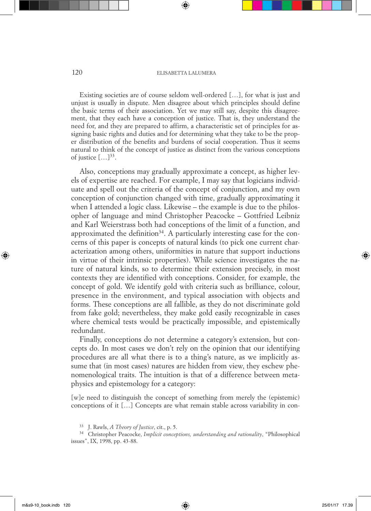#### 120 ELISABETTA LALUMERA

Existing societies are of course seldom well-ordered […], for what is just and unjust is usually in dispute. Men disagree about which principles should define the basic terms of their association. Yet we may still say, despite this disagreement, that they each have a conception of justice. That is, they understand the need for, and they are prepared to affirm, a characteristic set of principles for assigning basic rights and duties and for determining what they take to be the proper distribution of the benefits and burdens of social cooperation. Thus it seems natural to think of the concept of justice as distinct from the various conceptions of justice  $[\dots]^{33}$ .

Also, conceptions may gradually approximate a concept, as higher levels of expertise are reached. For example, I may say that logicians individuate and spell out the criteria of the concept of conjunction, and my own conception of conjunction changed with time, gradually approximating it when I attended a logic class. Likewise – the example is due to the philosopher of language and mind Christopher Peacocke – Gottfried Leibniz and Karl Weierstrass both had conceptions of the limit of a function, and approximated the definition<sup>34</sup>. A particularly interesting case for the concerns of this paper is concepts of natural kinds (to pick one current characterization among others, uniformities in nature that support inductions in virtue of their intrinsic properties). While science investigates the nature of natural kinds, so to determine their extension precisely, in most contexts they are identified with conceptions. Consider, for example, the concept of gold. We identify gold with criteria such as brilliance, colour, presence in the environment, and typical association with objects and forms. These conceptions are all fallible, as they do not discriminate gold from fake gold; nevertheless, they make gold easily recognizable in cases where chemical tests would be practically impossible, and epistemically redundant.

Finally, conceptions do not determine a category's extension, but concepts do. In most cases we don't rely on the opinion that our identifying procedures are all what there is to a thing's nature, as we implicitly assume that (in most cases) natures are hidden from view, they eschew phenomenological traits. The intuition is that of a difference between metaphysics and epistemology for a category:

[w]e need to distinguish the concept of something from merely the (epistemic) conceptions of it […] Concepts are what remain stable across variability in con-

<sup>33</sup> J. Rawls, *A Theory of Justice*, cit., p. 5.

<sup>34</sup> Christopher Peacocke, *Implicit conceptions, understanding and rationality*, "Philosophical issues", IX, 1998, pp. 43-88.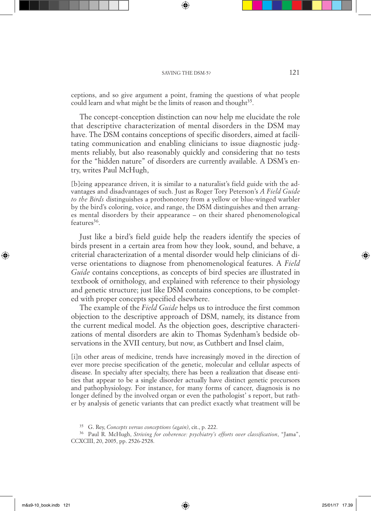ceptions, and so give argument a point, framing the questions of what people could learn and what might be the limits of reason and thought<sup>35</sup>.

The concept-conception distinction can now help me elucidate the role that descriptive characterization of mental disorders in the DSM may have. The DSM contains conceptions of specific disorders, aimed at facilitating communication and enabling clinicians to issue diagnostic judgments reliably, but also reasonably quickly and considering that no tests for the "hidden nature" of disorders are currently available. A DSM's entry, writes Paul McHugh,

[b]eing appearance driven, it is similar to a naturalist's field guide with the advantages and disadvantages of such. Just as Roger Tory Peterson's *A Field Guide to the Birds* distinguishes a prothonotory from a yellow or blue-winged warbler by the bird's coloring, voice, and range, the DSM distinguishes and then arranges mental disorders by their appearance – on their shared phenomenological  $f$ eatures<sup>36</sup>

Just like a bird's field guide help the readers identify the species of birds present in a certain area from how they look, sound, and behave, a criterial characterization of a mental disorder would help clinicians of diverse orientations to diagnose from phenomenological features. A *Field Guide* contains conceptions, as concepts of bird species are illustrated in textbook of ornithology, and explained with reference to their physiology and genetic structure; just like DSM contains conceptions, to be completed with proper concepts specified elsewhere.

The example of the *Field Guide* helps us to introduce the first common objection to the descriptive approach of DSM, namely, its distance from the current medical model. As the objection goes, descriptive characterizations of mental disorders are akin to Thomas Sydenham's bedside observations in the XVII century, but now, as Cuthbert and Insel claim,

[i]n other areas of medicine, trends have increasingly moved in the direction of ever more precise specification of the genetic, molecular and cellular aspects of disease. In specialty after specialty, there has been a realization that disease entities that appear to be a single disorder actually have distinct genetic precursors and pathophysiology. For instance, for many forms of cancer, diagnosis is no longer defined by the involved organ or even the pathologist' s report, but rather by analysis of genetic variants that can predict exactly what treatment will be

<sup>35</sup> G. Rey, *Concepts versus conceptions (again)*, cit., p. 222.

<sup>36</sup> Paul R. McHugh, *Striving for coherence: psychiatry's efforts over classification*, "Jama", CCXCIII, 20, 2005, pp. 2526-2528.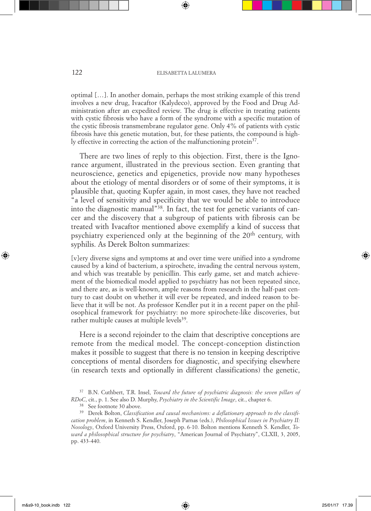optimal […]. In another domain, perhaps the most striking example of this trend involves a new drug, Ivacaftor (Kalydeco), approved by the Food and Drug Administration after an expedited review. The drug is effective in treating patients with cystic fibrosis who have a form of the syndrome with a specific mutation of the cystic fibrosis transmembrane regulator gene. Only 4% of patients with cystic fibrosis have this genetic mutation, but, for these patients, the compound is highly effective in correcting the action of the malfunctioning protein<sup>37</sup>.

There are two lines of reply to this objection. First, there is the Ignorance argument, illustrated in the previous section. Even granting that neuroscience, genetics and epigenetics, provide now many hypotheses about the etiology of mental disorders or of some of their symptoms, it is plausible that, quoting Kupfer again, in most cases, they have not reached "a level of sensitivity and specificity that we would be able to introduce into the diagnostic manual"38. In fact, the test for genetic variants of cancer and the discovery that a subgroup of patients with fibrosis can be treated with Ivacaftor mentioned above exemplify a kind of success that psychiatry experienced only at the beginning of the 20<sup>th</sup> century, with syphilis. As Derek Bolton summarizes:

[v]ery diverse signs and symptoms at and over time were unified into a syndrome caused by a kind of bacterium, a spirochete, invading the central nervous system, and which was treatable by penicillin. This early game, set and match achievement of the biomedical model applied to psychiatry has not been repeated since, and there are, as is well-known, ample reasons from research in the half-past century to cast doubt on whether it will ever be repeated, and indeed reason to believe that it will be not. As professor Kendler put it in a recent paper on the philosophical framework for psychiatry: no more spirochete-like discoveries, but rather multiple causes at multiple levels<sup>39</sup>.

Here is a second rejoinder to the claim that descriptive conceptions are remote from the medical model. The concept-conception distinction makes it possible to suggest that there is no tension in keeping descriptive conceptions of mental disorders for diagnostic, and specifying elsewhere (in research texts and optionally in different classifications) the genetic,

<sup>37</sup> B.N. Cuthbert, T.R. Insel, *Toward the future of psychiatric diagnosis: the seven pillars of RDoC*, cit., p. 1. See also D. Murphy, *Psychiatry in the Scientific Image*, cit., chapter 6.

<sup>38</sup> See footnote 30 above.

<sup>39</sup> Derek Bolton, *Classification and causal mechanisms: a deflationary approach to the classification problem*, in Kenneth S. Kendler, Joseph Parnas (eds.), *Philosophical Issues in Psychiatry II: Nosology*, Oxford University Press, Oxford, pp. 6-10. Bolton mentions Kenneth S. Kendler, *Toward a philosophical structure for psychiatry*, "American Journal of Psychiatry", CLXII, 3, 2005, pp. 433-440.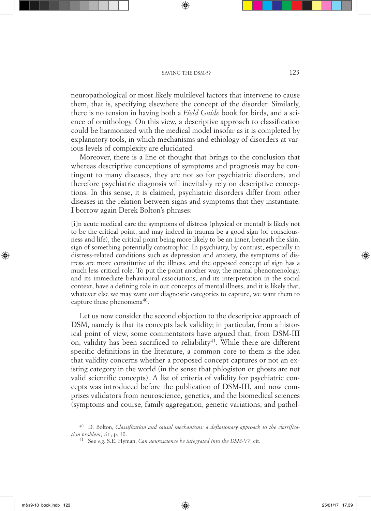neuropathological or most likely multilevel factors that intervene to cause them, that is, specifying elsewhere the concept of the disorder. Similarly, there is no tension in having both a *Field Guide* book for birds, and a science of ornithology. On this view, a descriptive approach to classification could be harmonized with the medical model insofar as it is completed by explanatory tools, in which mechanisms and ethiology of disorders at various levels of complexity are elucidated.

Moreover, there is a line of thought that brings to the conclusion that whereas descriptive conceptions of symptoms and prognosis may be contingent to many diseases, they are not so for psychiatric disorders, and therefore psychiatric diagnosis will inevitably rely on descriptive conceptions. In this sense, it is claimed, psychiatric disorders differ from other diseases in the relation between signs and symptoms that they instantiate. I borrow again Derek Bolton's phrases:

[i]n acute medical care the symptoms of distress (physical or mental) is likely not to be the critical point, and may indeed in trauma be a good sign (of consciousness and life), the critical point being more likely to be an inner, beneath the skin, sign of something potentially catastrophic. In psychiatry, by contrast, especially in distress-related conditions such as depression and anxiety, the symptoms of distress are more constitutive of the illness, and the opposed concept of sign has a much less critical role. To put the point another way, the mental phenomenology, and its immediate behavioural associations, and its interpretation in the social context, have a defining role in our concepts of mental illness, and it is likely that, whatever else we may want our diagnostic categories to capture, we want them to capture these phenomena<sup>40</sup>.

Let us now consider the second objection to the descriptive approach of DSM, namely is that its concepts lack validity; in particular, from a historical point of view, some commentators have argued that, from DSM-III on, validity has been sacrificed to reliability<sup>41</sup>. While there are different specific definitions in the literature, a common core to them is the idea that validity concerns whether a proposed concept captures or not an existing category in the world (in the sense that phlogiston or ghosts are not valid scientific concepts). A list of criteria of validity for psychiatric concepts was introduced before the publication of DSM-III, and now comprises validators from neuroscience, genetics, and the biomedical sciences (symptoms and course, family aggregation, genetic variations, and pathol-

<sup>40</sup> D. Bolton, *Classification and causal mechanisms: a deflationary approach to the classification problem*, cit., p. 10.

<sup>41</sup> See *e.g.* S.E. Hyman, *Can neuroscience be integrated into the DSM-V?*, cit.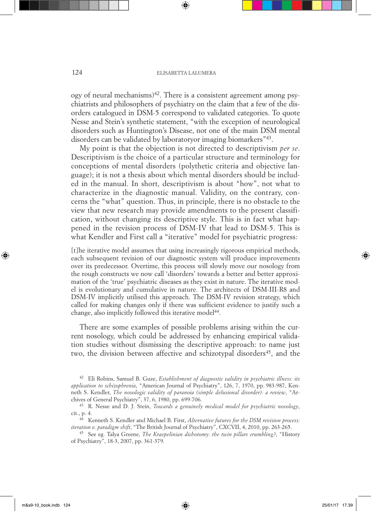#### 124 ELISABETTA LALUMERA

 $\log$  ogy of neural mechanisms)<sup>42</sup>. There is a consistent agreement among psychiatrists and philosophers of psychiatry on the claim that a few of the disorders catalogued in DSM-5 correspond to validated categories. To quote Nesse and Stein's synthetic statement, "with the exception of neurological disorders such as Huntington's Disease, not one of the main DSM mental disorders can be validated by laboratoryor imaging biomarkers"43.

My point is that the objection is not directed to descriptivism *per se*. Descriptivism is the choice of a particular structure and terminology for conceptions of mental disorders (polythetic criteria and objective language); it is not a thesis about which mental disorders should be included in the manual. In short, descriptivism is about "how", not what to characterize in the diagnostic manual. Validity, on the contrary, concerns the "what" question. Thus, in principle, there is no obstacle to the view that new research may provide amendments to the present classification, without changing its descriptive style. This is in fact what happened in the revision process of DSM-IV that lead to DSM-5. This is what Kendler and First call a "iterative" model for psychiatric progress:

[t]he iterative model assumes that using increasingly rigorous empirical methods, each subsequent revision of our diagnostic system will produce improvements over its predecessor. Overtime, this process will slowly move our nosology from the rough constructs we now call 'disorders' towards a better and better approximation of the 'true' psychiatric diseases as they exist in nature. The iterative model is evolutionary and cumulative in nature. The architects of DSM-III-R8 and DSM-IV implicitly utilised this approach. The DSM-IV revision strategy, which called for making changes only if there was sufficient evidence to justify such a change, also implicitly followed this iterative model<sup>44</sup>.

There are some examples of possible problems arising within the current nosology, which could be addressed by enhancing empirical validation studies without dismissing the descriptive approach: to name just two, the division between affective and schizotypal disorders<sup>45</sup>, and the

<sup>42</sup> Eli Robins, Samuel B. Guze, *Establishment of diagnostic validity in psychiatric illness: its application to schizophrenia*, "American Journal of Psychiatry", 126, 7, 1970, pp. 983-987, Kenneth S. Kendler, *The nosologic validity of paranoia (simple delusional disorder): a review*, "Archives of General Psychiatry", 37, 6, 1980, pp. 699-706.

<sup>43</sup> R. Nesse and D. J. Stein, *Towards a genuinely medical model for psychiatric nosology*, cit., p. 4.

<sup>44</sup> Kenneth S. Kendler and Michael B. First, *Alternative futures for the DSM revision process: iteration v. paradigm shift*, "The British Journal of Psychiatry", CXCVII, 4, 2010, pp. 263-265.

<sup>45</sup> See eg. Talya Greene, *The Kraepelinian dichotomy: the twin pillars crumbling?*, "History of Psychiatry", 18-3, 2007, pp. 361-379.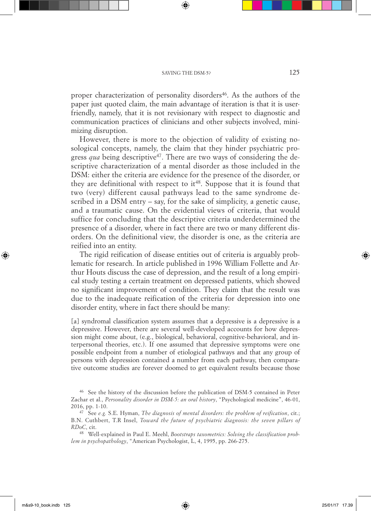proper characterization of personality disorders<sup>46</sup>. As the authors of the paper just quoted claim, the main advantage of iteration is that it is userfriendly, namely, that it is not revisionary with respect to diagnostic and communication practices of clinicians and other subjects involved, minimizing disruption.

However, there is more to the objection of validity of existing nosological concepts, namely, the claim that they hinder psychiatric progress *qua* being descriptive<sup>47</sup>. There are two ways of considering the descriptive characterization of a mental disorder as those included in the DSM: either the criteria are evidence for the presence of the disorder, or they are definitional with respect to  $it^{48}$ . Suppose that it is found that two (very) different causal pathways lead to the same syndrome described in a DSM entry – say, for the sake of simplicity, a genetic cause, and a traumatic cause. On the evidential views of criteria, that would suffice for concluding that the descriptive criteria underdetermined the presence of a disorder, where in fact there are two or many different disorders. On the definitional view, the disorder is one, as the criteria are reified into an entity.

The rigid reification of disease entities out of criteria is arguably problematic for research. In article published in 1996 William Follette and Arthur Houts discuss the case of depression, and the result of a long empirical study testing a certain treatment on depressed patients, which showed no significant improvement of condition. They claim that the result was due to the inadequate reification of the criteria for depression into one disorder entity, where in fact there should be many:

[a] syndromal classification system assumes that a depressive is a depressive is a depressive. However, there are several well-developed accounts for how depression might come about, (e.g., biological, behavioral, cognitive-behavioral, and interpersonal theories, etc.). If one assumed that depressive symptoms were one possible endpoint from a number of etiological pathways and that any group of persons with depression contained a number from each pathway, then comparative outcome studies are forever doomed to get equivalent results because those

<sup>46</sup> See the history of the discussion before the publication of DSM-5 contained in Peter Zachar et al., *Personality disorder in DSM-5: an oral history*, "Psychological medicine", 46-01, 2016, pp. 1-10.

<sup>47</sup> See *e.g.* S.E. Hyman, *The diagnosis of mental disorders: the problem of reification*, cit.; B.N. Cuthbert, T.R Insel, *Toward the future of psychiatric diagnosis: the seven pillars of RDoC*, cit.

<sup>48</sup> Well-explained in Paul E. Meehl, *Bootstraps taxometrics: Solving the classification problem in psychopathology*, "American Psychologist, L, 4, 1995, pp. 266-275.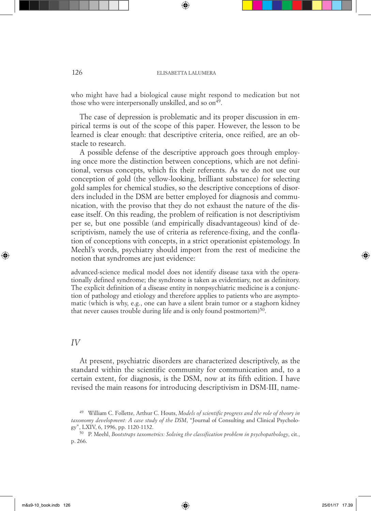#### 126 ELISABETTA LALUMERA

who might have had a biological cause might respond to medication but not those who were interpersonally unskilled, and so on<sup>49</sup>.

The case of depression is problematic and its proper discussion in empirical terms is out of the scope of this paper. However, the lesson to be learned is clear enough: that descriptive criteria, once reified, are an obstacle to research.

A possible defense of the descriptive approach goes through employing once more the distinction between conceptions, which are not definitional, versus concepts, which fix their referents. As we do not use our conception of gold (the yellow-looking, brilliant substance) for selecting gold samples for chemical studies, so the descriptive conceptions of disorders included in the DSM are better employed for diagnosis and communication, with the proviso that they do not exhaust the nature of the disease itself. On this reading, the problem of reification is not descriptivism per se, but one possible (and empirically disadvantageous) kind of descriptivism, namely the use of criteria as reference-fixing, and the conflation of conceptions with concepts, in a strict operationist epistemology. In Meehl's words, psychiatry should import from the rest of medicine the notion that syndromes are just evidence:

advanced-science medical model does not identify disease taxa with the operationally defined syndrome; the syndrome is taken as evidentiary, not as definitory. The explicit definition of a disease entity in nonpsychiatric medicine is a conjunction of pathology and etiology and therefore applies to patients who are asymptomatic (which is why, e.g., one can have a silent brain tumor or a staghorn kidney that never causes trouble during life and is only found postmortem)<sup>50</sup>.

#### *IV*

At present, psychiatric disorders are characterized descriptively, as the standard within the scientific community for communication and, to a certain extent, for diagnosis, is the DSM, now at its fifth edition. I have revised the main reasons for introducing descriptivism in DSM-III, name-

<sup>49</sup> William C. Follette, Arthur C. Houts, *Models of scientific progress and the role of theory in taxonomy development: A case study of the DSM*, "Journal of Consulting and Clinical Psychology", LXIV, 6, 1996, pp. 1120-1132.

<sup>50</sup> P. Meehl, *Bootstraps taxometrics: Solving the classification problem in psychopathology*, cit., p. 266.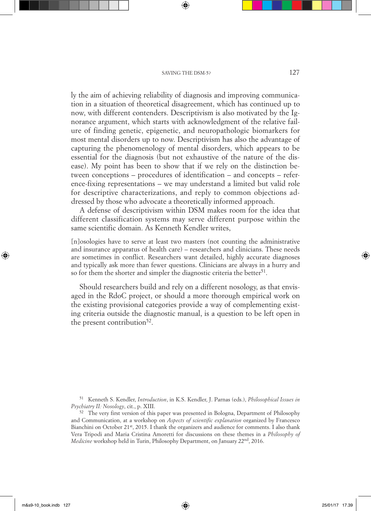ly the aim of achieving reliability of diagnosis and improving communication in a situation of theoretical disagreement, which has continued up to now, with different contenders. Descriptivism is also motivated by the Ignorance argument, which starts with acknowledgment of the relative failure of finding genetic, epigenetic, and neuropathologic biomarkers for most mental disorders up to now. Descriptivism has also the advantage of capturing the phenomenology of mental disorders, which appears to be essential for the diagnosis (but not exhaustive of the nature of the disease). My point has been to show that if we rely on the distinction between conceptions – procedures of identification – and concepts – reference-fixing representations – we may understand a limited but valid role for descriptive characterizations, and reply to common objections addressed by those who advocate a theoretically informed approach.

A defense of descriptivism within DSM makes room for the idea that different classification systems may serve different purpose within the same scientific domain. As Kenneth Kendler writes,

[n]osologies have to serve at least two masters (not counting the administrative and insurance apparatus of health care) – researchers and clinicians. These needs are sometimes in conflict. Researchers want detailed, highly accurate diagnoses and typically ask more than fewer questions. Clinicians are always in a hurry and so for them the shorter and simpler the diagnostic criteria the better<sup>51</sup>.

Should researchers build and rely on a different nosology, as that envisaged in the RdoC project, or should a more thorough empirical work on the existing provisional categories provide a way of complementing existing criteria outside the diagnostic manual, is a question to be left open in the present contribution<sup>52</sup>.

<sup>51</sup> Kenneth S. Kendler, *Introduction*, in K.S. Kendler, J. Parnas (eds.), *Philosophical Issues in Psychiatry II: Nosology*, cit., p. XIII.

<sup>52</sup> The very first version of this paper was presented in Bologna, Department of Philosophy and Communication, at a workshop on *Aspects of scientific explanation* organized by Francesco Bianchini on October 21st, 2015. I thank the organizers and audience for comments. I also thank Vera Tripodi and Maria Cristina Amoretti for discussions on these themes in a *Philosophy of Medicine* workshop held in Turin, Philosophy Department, on January 22nd, 2016.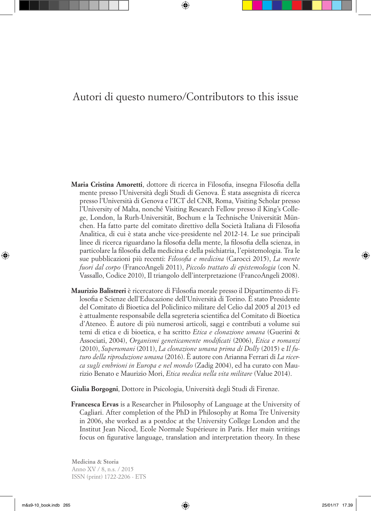## Autori di questo numero/Contributors to this issue

- **Maria Cristina Amoretti**, dottore di ricerca in Filosofia, insegna Filosofia della mente presso l'Università degli Studi di Genova. È stata assegnista di ricerca presso l'Università di Genova e l'ICT del CNR, Roma, Visiting Scholar presso l'University of Malta, nonché Visiting Research Fellow presso il King's College, London, la Rurh-Universität, Bochum e la Technische Universität München. Ha fatto parte del comitato direttivo della Società Italiana di Filosofia Analitica, di cui è stata anche vice-presidente nel 2012-14. Le sue principali linee di ricerca riguardano la filosofia della mente, la filosofia della scienza, in particolare la filosofia della medicina e della psichiatria, l'epistemologia. Tra le sue pubblicazioni più recenti: *Filosofia e medicina* (Carocci 2015), *La mente fuori dal corpo* (FrancoAngeli 2011), *Piccolo trattato di epistemologia* (con N. Vassallo, Codice 2010), Il triangolo dell'interpretazione (FrancoAngeli 2008).
- **Maurizio Balistreri** è ricercatore di Filosofia morale presso il Dipartimento di Filosofia e Scienze dell'Educazione dell'Università di Torino. È stato Presidente del Comitato di Bioetica del Policlinico militare del Celio dal 2005 al 2013 ed è attualmente responsabile della segreteria scientifica del Comitato di Bioetica d'Ateneo. È autore di più numerosi articoli, saggi e contributi a volume sui temi di etica e di bioetica, e ha scritto *Etica e clonazione umana* (Guerini & Associati, 2004), *Organismi geneticamente modificati* (2006), *Etica e romanzi* (2010), *Superumani* (2011), *La clonazione umana prima di Dolly* (2015) e *Il futuro della riproduzione umana* (2016). È autore con Arianna Ferrari di *La ricerca sugli embrioni in Europa e nel mondo* (Zadig 2004), ed ha curato con Maurizio Benato e Maurizio Mori, *Etica medica nella vita militare* (Value 2014).

**Giulia Borgogni**, Dottore in Psicologia, Università degli Studi di Firenze.

**Francesca Ervas** is a Researcher in Philosophy of Language at the University of Cagliari. After completion of the PhD in Philosophy at Roma Tre University in 2006, she worked as a postdoc at the University College London and the Institut Jean Nicod, Ecole Normale Supérieure in Paris. Her main writings focus on figurative language, translation and interpretation theory. In these

**Medicina & Storia** Anno XV / 8, n.s. / 2015 ISSN (print) 1722-2206 - ETS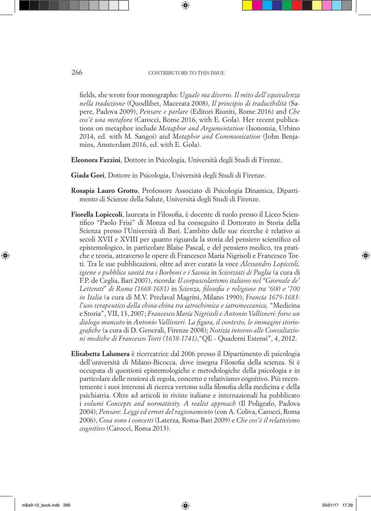fields, she wrote four monographs: *Uguale ma diverso. Il mito dell'equivalenza nella traduzione* (Quodlibet, Macerata 2008), *Il principio di traducibilità* (Sapere, Padova 2009), *Pensare e parlare* (Editori Riuniti, Rome 2016) and *Che cos'è una metafora* (Carocci, Rome 2016, with E. Gola). Her recent publications on metaphor include *Metaphor and Argumentation* (Isonomia, Urbino 2014, ed. with M. Sangoi) and *Metaphor and Communication* (John Benjamins, Amsterdam 2016, ed. with E. Gola).

- **Eleonora Fazzini**, Dottore in Psicologia, Università degli Studi di Firenze.
- **Giada Gori**, Dottore in Psicologia, Università degli Studi di Firenze.
- **Rosapia Lauro Grotto**, Professore Associato di Psicologia Dinamica, Dipartimento di Scienze della Salute, Università degli Studi di Firenze.
- **Fiorella Lopiccoli**, laureata in Filosofia, è docente di ruolo presso il Liceo Scientifico "Paolo Frisi" di Monza ed ha conseguito il Dottorato in Storia della Scienza presso l'Università di Bari. L'ambito delle sue ricerche è relativo ai secoli XVII e XVIII per quanto riguarda la storia del pensiero scientifico ed epistemologico, in particolare Blaise Pascal, e del pensiero medico, tra pratiche e teoria, attraverso le opere di Francesco Maria Nigrisoli e Francesco Torti. Tra le sue pubblicazioni, oltre ad aver curato la voce *Alessandro Lopiccoli, igiene e pubblica sanità tra i Borboni e i Savoia* in *Scienziati di Puglia* (a cura di F.P. de Ceglia, Bari 2007), ricorda: *Il corpuscolarismo italiano nel "Giornale de' Letterati" di Roma (1668-1681)* in *Scienza, filosofia e religione tra '600 e '700 in Italia* (a cura di M.V. Predaval Magrini, Milano 1990); *Francia 1679-1683: l'uso terapeutico della china-china tra iatrochimica e iatromeccanica,* "Medicina e Storia", VII, 13, 2007; *Francesco Maria Nigrisoli e Antonio Vallisneri: forse un dialogo mancato* in *Antonio Vallisneri. La figura, il contesto, le immagini storiografiche* (a cura di D. Generali, Firenze 2008); *Notizia intorno alle Consultazioni mediche di Francesco Torti (1658-1741)*,"QE - Quaderni Estensi", 4, 2012.
- **Elisabetta Lalumera** è ricercatrice dal 2006 presso il Dipartimento di psicologia dell'università di Milano-Bicocca, dove insegna Filosofia della scienza. Si è occupata di questioni epistemologiche e metodologiche della psicologia e in particolare delle nozioni di regola, concetto e relativismo cognitivo. Più recentemente i suoi interessi di ricerca vertono sulla filosofia della medicina e della psichiatria. Oltre ad articoli in riviste italiane e internazionali ha pubblicato i *volumi Concepts and normativity. A realist approach* (Il Poligrafo, Padova 2004); *Pensare. Leggi ed errori del ragionamento* (con A. Coliva, Carocci, Roma 2006), *Cosa sono i concetti* (Laterza, Roma-Bari 2009) e *Che cos'è il relativismo cognitivo* (Carocci, Roma 2013).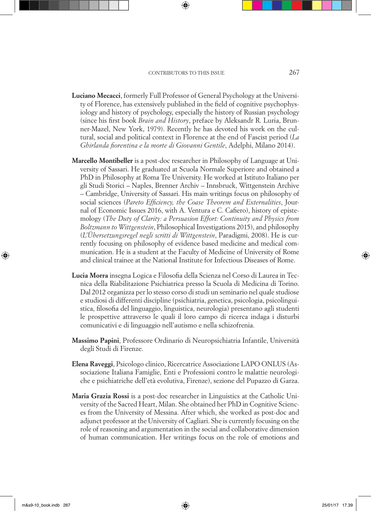- **Luciano Mecacci**, formerly Full Professor of General Psychology at the University of Florence, has extensively published in the field of cognitive psychophysiology and history of psychology, especially the history of Russian psychology (since his first book *Brain and History*, preface by Aleksandr R. Luria, Brunner-Mazel, New York, 1979). Recently he has devoted his work on the cultural, social and political context in Florence at the end of Fascist period (*La Ghirlanda fiorentina e la morte di Giovanni Gentile*, Adelphi, Milano 2014).
- **Marcello Montibeller** is a post-doc researcher in Philosophy of Language at University of Sassari. He graduated at Scuola Normale Superiore and obtained a PhD in Philosophy at Roma Tre University. He worked at Istituto Italiano per gli Studi Storici – Naples, Brenner Archiv – Innsbruck, Wittgenstein Archive – Cambridge, University of Sassari. His main writings focus on philosophy of social sciences (*Pareto Efficiency, the Coase Theorem and Externalities*, Journal of Economic Issues 2016, with A. Ventura e C. Cafiero), history of epistemology (*The Duty of Clarity: a Persuasion Effort: Continuity and Physics from Boltzmann to Wittgenstein*, Philosophical Investigations 2015), and philosophy (*L'Übersetzungsregel negli scritti di Wittgenstein*, Paradigmi, 2008). He is currently focusing on philosophy of evidence based medicine and medical communication. He is a student at the Faculty of Medicine of University of Rome and clinical trainee at the National Institute for Infectious Diseases of Rome.
- **Lucia Morra** insegna Logica e Filosofia della Scienza nel Corso di Laurea in Tecnica della Riabilitazione Psichiatrica presso la Scuola di Medicina di Torino. Dal 2012 organizza per lo stesso corso di studi un seminario nel quale studiose e studiosi di differenti discipline (psichiatria, genetica, psicologia, psicolinguistica, filosofia del linguaggio, linguistica, neurologia) presentano agli studenti le prospettive attraverso le quali il loro campo di ricerca indaga i disturbi comunicativi e di linguaggio nell'autismo e nella schizofrenia.
- **Massimo Papini**, Professore Ordinario di Neuropsichiatria Infantile, Università degli Studi di Firenze.
- **Elena Raveggi**, Psicologo clinico, Ricercatrice Associazione LAPO ONLUS (Associazione Italiana Famiglie, Enti e Professioni contro le malattie neurologiche e psichiatriche dell'età evolutiva, Firenze), sezione del Pupazzo di Garza.
- **Maria Grazia Rossi** is a post-doc researcher in Linguistics at the Catholic University of the Sacred Heart, Milan. She obtained her PhD in Cognitive Sciences from the University of Messina. After which, she worked as post-doc and adjunct professor at the University of Cagliari. She is currently focusing on the role of reasoning and argumentation in the social and collaborative dimension of human communication. Her writings focus on the role of emotions and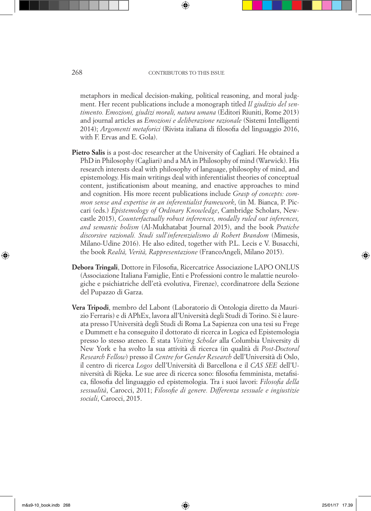metaphors in medical decision-making, political reasoning, and moral judgment. Her recent publications include a monograph titled *Il giudizio del sentimento. Emozioni, giudizi morali, natura umana* (Editori Riuniti, Rome 2013) and journal articles as *Emozioni e deliberazione razionale* (Sistemi Intelligenti 2014); *Argomenti metaforici* (Rivista italiana di filosofia del linguaggio 2016, with F. Ervas and E. Gola).

- **Pietro Salis** is a post-doc researcher at the University of Cagliari. He obtained a PhD in Philosophy (Cagliari) and a MA in Philosophy of mind (Warwick). His research interests deal with philosophy of language, philosophy of mind, and epistemology. His main writings deal with inferentialist theories of conceptual content, justificationism about meaning, and enactive approaches to mind and cognition. His more recent publications include *Grasp of concepts: common sense and expertise in an inferentialist framework*, (in M. Bianca, P. Piccari (eds.) *Epistemology of Ordinary Knowledge*, Cambridge Scholars, Newcastle 2015), *Counterfactually robust inferences, modally ruled out inferences, and semantic holism* (Al-Mukhatabat Journal 2015), and the book *Pratiche discorsive razionali. Studi sull'inferenzialismo di Robert Brandom* (Mimesis, Milano-Udine 2016). He also edited, together with P.L. Lecis e V. Busacchi, the book *Realtà, Verità, Rappresentazione* (FrancoAngeli, Milano 2015).
- **Debora Tringali**, Dottore in Filosofia, Ricercatrice Associazione LAPO ONLUS (Associazione Italiana Famiglie, Enti e Professioni contro le malattie neurologiche e psichiatriche dell'età evolutiva, Firenze), ccordinatrore della Sezione del Pupazzo di Garza.
- **Vera Tripodi**, membro del Labont (Laboratorio di Ontologia diretto da Maurizio Ferraris) e di APhEx, lavora all'Università degli Studi di Torino. Si è laureata presso l'Università degli Studi di Roma La Sapienza con una tesi su Frege e Dummett e ha conseguito il dottorato di ricerca in Logica ed Epistemologia presso lo stesso ateneo. È stata *Visiting Scholar* alla Columbia University di New York e ha svolto la sua attività di ricerca (in qualità di *Post-Doctoral Research Fellow*) presso il *Centre for Gender Research* dell'Università di Oslo, il centro di ricerca *Logos* dell'Università di Barcellona e il *CAS SEE* dell'Università di Rijeka. Le sue aree di ricerca sono: filosofia femminista, metafisica, filosofia del linguaggio ed epistemologia. Tra i suoi lavori: *Filosofia della sessualità*, Carocci, 2011; *Filosofie di genere. Differenza sessuale e ingiustizie sociali*, Carocci, 2015.